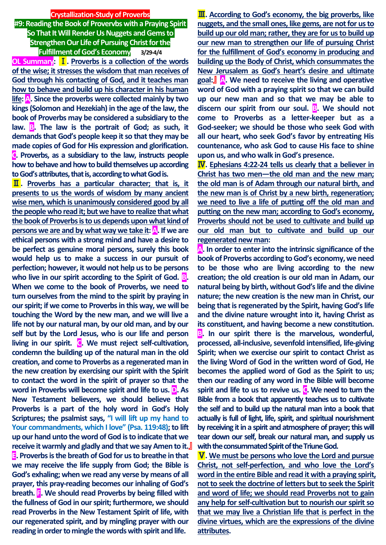#### **Crystallization-Study of Proverbs**

**#9: Reading the Book of Provervbswith a Praying Spirit So That It Will Render Us Nuggets and Gems to Strengthen Our Life of Pursuing Christ for the Fulfillment of God's Economy 3/29-4/4**

**OL Summary:** Ⅰ**. Proverbs is a collection of the words of the wise; it stresses the wisdom that man receives of God through his contacting of God, and it teaches man how to behave and build up his character in his human life: A. Since the proverbs were collected mainly by two kings (Solomon and Hezekiah) in the age of the law, the book of Proverbs may be considered a subsidiary to the law. B. The law is the portrait of God; as such, it demands that God's people keep it so that they may be made copies of God for His expression and glorification. C. Proverbs, as a subsidiary to the law, instructs people howto behave and how to build themselves up according to God's attributes, that is, according to what God is.**

Ⅱ**. Proverbs has a particular character; that is, it presents to us the words of wisdom by many ancient wise men, which is unanimously considered good by all the people who read it; but we have to realize that what the book of Proverbs is to us depends upon what kind of persons we are and by what way we take it: A. If we are ethical persons with a strong mind and have a desire to be perfect as genuine moral persons, surely this book would help us to make a success in our pursuit of perfection; however, it would not help us to be persons who live in our spirit according to the Spirit of God. B. When we come to the book of Proverbs, we need to turn ourselves from the mind to the spirit by praying in our spirit; if we come to Proverbs in this way, we will be touching the Word by the new man, and we will live a life not by our natural man, by our old man, and by our self but by the Lord Jesus, who is our life and person living in our spirit. C. We must reject self-cultivation, condemn the building up of the natural man in the old creation, and come to Proverbs as a regenerated man in the new creation by exercising our spirit with the Spirit to contact the word in the spirit of prayer so that the word in Proverbs will become spirit and life to us. D. As New Testament believers, we should believe that Proverbs is a part of the holy word in God's Holy Scriptures; the psalmist says, "I will lift up my hand to Your commandments, which I love" (Psa. 119:48); to lift up our hand unto the word of God is to indicate that we receive it warmly and gladly and that we say Amen to it.**』 **E. Proverbs is the breath of God for us to breathe in that we may receive the life supply from God; the Bible is God's exhaling; when we read any verse by means of all prayer, this pray-reading becomes our inhaling of God's breath. F. We should read Proverbs by being filled with the fullness of God in our spirit; furthermore, we should read Proverbs in the New Testament Spirit of life, with our regenerated spirit, and by mingling prayer with our reading in order to mingle the words with spirit and life.** 

Ⅲ**. According to God's economy, the big proverbs, like nuggets, and the small ones, like gems, are not for us to build up our old man; rather, they are for us to build up our new man to strengthen our life of pursuing Christ for the fulfillment of God's economy in producing and building up the Body of Christ, which consummates the New Jerusalem as God's heart's desire and ultimate goal:**』 **A. We need to receive the living and operative word of God with a praying spirit so that we can build up our new man and so that we may be able to discern our spirit from our soul. B. We should not come to Proverbs as a letter-keeper but as a God-seeker; we should be those who seek God with all our heart, who seek God's favor by entreating His countenance, who ask God to cause His face to shine upon us, and who walk in God's presence.**

Ⅳ**. Ephesians 4:22-24 tells us clearly that a believer in Christ has two men—the old man and the new man; the old man is of Adam through our natural birth, and the new man is of Christ by a new birth, regeneration; we need to live a life of putting off the old man and putting on the new man; according to God's economy, Proverbs should not be used to cultivate and build up our old man but to cultivate and build up our regenerated new man:**

**A. In order to enter into the intrinsic significance of the book of Proverbs according to God's economy, we need to be those who are living according to the new creation; the old creation is our old man in Adam, our natural being by birth, without God's life and the divine nature; the new creation is the new man in Christ, our being that is regenerated by the Spirit, having God's life and the divine nature wrought into it, having Christ as its constituent, and having become a new constitution. B. In our spirit there is the marvelous, wonderful, processed, all-inclusive, sevenfold intensified, life-giving Spirit; when we exercise our spirit to contact Christ as the living Word of God in the written word of God, He becomes the applied word of God as the Spirit to us; then our reading of any word in the Bible will become spirit and life to us to revive us. C. We need to turn the Bible from a book that apparently teaches us to cultivate the self and to build up the natural man into a book that actually is full of light, life, spirit, and spiritual nourishment by receiving it in a spirit and atmosphere of prayer; this will tear down our self, break our natural man, and supply us with the consummated Spirit of the Triune God.** 

Ⅴ**. We must be persons who love the Lord and pursue Christ, not self-perfection, and who love the Lord's word in the entire Bible and read it with a praying spirit, not to seek the doctrine of letters but to seek the Spirit and word of life; we should read Proverbs not to gain any help for self-cultivation but to nourish our spirit so that we may live a Christian life that is perfect in the divine virtues, which are the expressions of the divine attributes.**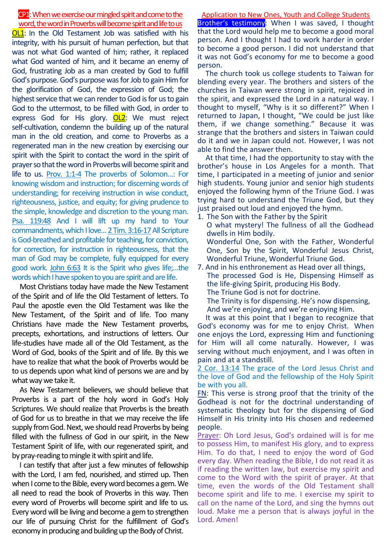# CP1: When we exercise our mingled spirit and come to the word, the word in Proverbs will become spirit and life to us

**OL1**: In the Old Testament Job was satisfied with his integrity, with his pursuit of human perfection, but that was not what God wanted of him; rather, it replaced what God wanted of him, and it became an enemy of God, frustrating Job as a man created by God to fulfill God's purpose.God's purpose was for Job to gain Him for the glorification of God, the expression of God; the highest service that we can render to God is for us to gain God to the uttermost, to be filled with God, in order to express God for His glory. OL2: We must reject self-cultivation, condemn the building up of the natural man in the old creation, and come to Proverbs as a regenerated man in the new creation by exercising our spirit with the Spirit to contact the word in the spirit of prayer so that the word in Proverbs will become spirit and life to us. **Prov. 1:1-4** The proverbs of Solomon...: For knowing wisdom and instruction; for discerning words of understanding; for receiving instruction in wise conduct, righteousness, justice, and equity; for giving prudence to the simple, knowledge and discretion to the young man. Psa. 119:48 And I will lift up my hand to Your commandments, which I love…2 Tim. 3:16-17All Scripture is God-breathed and profitable for teaching, for conviction, for correction, for instruction in righteousness, that the man of God may be complete, fully equipped for every good work. John 6:63 It is the Spirit who gives life;…the words which I have spoken to you are spirit and are life.

Most Christians today have made the New Testament of the Spirit and of life the Old Testament of letters. To Paul the apostle even the Old Testament was like the New Testament, of the Spirit and of life. Too many Christians have made the New Testament proverbs, precepts, exhortations, and instructions of letters. Our life-studies have made all of the Old Testament, as the Word of God, books of the Spirit and of life. By this we have to realize that what the book of Proverbs would be to us depends upon what kind of persons we are and by what way we take it.

As New Testament believers, we should believe that Proverbs is a part of the holy word in God's Holy Scriptures. We should realize that Proverbs is the breath of God for us to breathe in that we may receive the life supply from God. Next, we should read Proverbs by being filled with the fullness of God in our spirit, in the New Testament Spirit of life, with our regenerated spirit, and by pray-reading to mingle it with spirit and life.

I can testify that after just a few minutes of fellowship with the Lord, I am fed, nourished, and stirred up. Then when I come to the Bible, every word becomes a gem. We all need to read the book of Proverbs in this way. Then every word of Proverbs will become spirit and life to us. Every word will be living and become a gem to strengthen our life of pursuing Christ for the fulfillment of God's economy in producing and building up the Body of Christ.

Application to New Ones, Youth and College Students Brother's testimony: When I was saved, I thought that the Lord would help me to become a good moral person. And I thought I had to work harder in order to become a good person. I did not understand that it was not God's economy for me to become a good person.

The church took us college students to Taiwan for blending every year. The brothers and sisters of the churches in Taiwan were strong in spirit, rejoiced in the spirit, and expressed the Lord in a natural way. I thought to myself, "Why is it so different?" When I returned to Japan, I thought, "We could be just like them, if we change something." Because it was strange that the brothers and sisters in Taiwan could do it and we in Japan could not. However, I was not able to find the answer then.

At that time, I had the opportunity to stay with the brother's house in Los Angeles for a month. That time, I participated in a meeting of junior and senior high students. Young junior and senior high students enjoyed the following hymn of the Triune God. I was trying hard to understand the Triune God, but they just praised out loud and enjoyed the hymn.

- 1. The Son with the Father by the Spirit
	- O what mystery! The fullness of all the Godhead dwells in Him bodily.
	- Wonderful One, Son with the Father, Wonderful One, Son by the Spirit, Wonderful Jesus Christ, Wonderful Triune, Wonderful Triune God.
- 7. And in his enthronement as Head over all things, The processed God is He, Dispensing Himself as the life-giving Spirit, producing His Body. The Triune God is not for doctrine.
	- The Trinity is for dispensing. He's now dispensing, And we're enjoying, and we're enjoying Him.

It was at this point that I began to recognize that God's economy was for me to enjoy Christ. When one enjoys the Lord, expressing Him and functioning for Him will all come naturally. However, I was serving without much enjoyment, and I was often in pain and at a standstill.

2 Cor. 13:14 The grace of the Lord Jesus Christ and the love of God and the fellowship of the Holy Spirit be with you all.

FN: This verse is strong proof that the trinity of the Godhead is not for the doctrinal understanding of systematic theology but for the dispensing of God Himself in His trinity into His chosen and redeemed people.

Prayer: Oh Lord Jesus, God's ordained will is for me to possess Him, to manifest His glory, and to express Him. To do that, I need to enjoy the word of God every day. When reading the Bible, I do not read it as if reading the written law, but exercise my spirit and come to the Word with the spirit of prayer. At that time, even the words of the Old Testament shall become spirit and life to me. I exercise my spirit to call on the name of the Lord, and sing the hymns out loud. Make me a person that is always joyful in the Lord. Amen!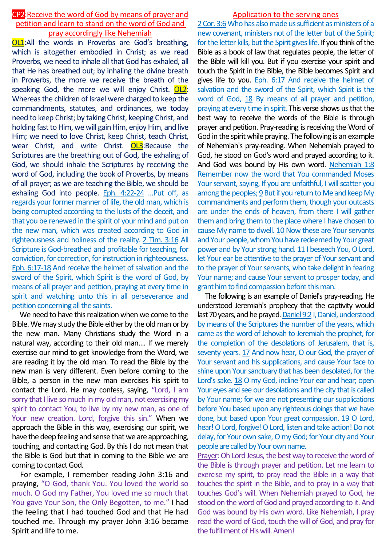## CP2:Receive the word of God by means of prayer and petition and learn to stand on the word of God and pray accordingly like Nehemiah

**OL1:**All the words in Proverbs are God's breathing, which is altogether embodied in Christ; as we read Proverbs, we need to inhale all that God has exhaled, all that He has breathed out; by inhaling the divine breath in Proverbs, the more we receive the breath of the speaking God, the more we will enjoy Christ. OL2: Whereas the children of Israel were charged to keep the commandments, statutes, and ordinances, we today need to keep Christ; by taking Christ, keeping Christ, and holding fast to Him, we will gain Him, enjoy Him, and live Him; we need to love Christ, keep Christ, teach Christ, wear Christ, and write Christ. OL3: Because the Scriptures are the breathing out of God, the exhaling of God, we should inhale the Scriptures by receiving the word of God, including the book of Proverbs, by means of all prayer; as we are teaching the Bible, we should be exhaling God into people. Eph. 4:22-24 …Put off, as regards your former manner of life, the old man, which is being corrupted according to the lusts of the deceit, and that you be renewed in the spirit of your mind and put on the new man, which was created according to God in righteousness and holiness of the reality. 2 Tim. 3:16 All Scripture is God-breathed and profitable for teaching, for conviction, for correction, for instruction in righteousness. Eph. 6:17-18 And receive the helmet of salvation and the sword of the Spirit, which Spirit is the word of God, by means of all prayer and petition, praying at every time in spirit and watching unto this in all perseverance and petition concerning all the saints.

We need to have this realization when we come to the Bible. We may study the Bible either by the old man or by the new man. Many Christians study the Word in a natural way, according to their old man…. If we merely exercise our mind to get knowledge from the Word, we are reading it by the old man. To read the Bible by the new man is very different. Even before coming to the Bible, a person in the new man exercises his spirit to contact the Lord. He may confess, saying, "Lord, I am sorry that I live so much in my old man, not exercising my spirit to contact You, to live by my new man, as one of Your new creation. Lord, forgive this sin." When we approach the Bible in this way, exercising our spirit, we have the deep feeling and sense that we are approaching, touching, and contacting God. By this I do not mean that the Bible is God but that in coming to the Bible we are coming to contact God.

For example, I remember reading John 3:16 and praying, "O God, thank You. You loved the world so much. O God my Father, You loved me so much that You gave Your Son, the Only Begotten, to me." I had the feeling that I had touched God and that He had touched me. Through my prayer John 3:16 became Spirit and life to me.

### Application to the serving ones

2Cor. 3:6Who has also made us sufficient as ministers of a new covenant, ministers not of the letter but of the Spirit; for the letter kills, but the Spirit gives life. If you think of the Bible as a book of law that regulates people, the letter of the Bible will kill you. But if you exercise your spirit and touch the Spirit in the Bible, the Bible becomes Spirit and gives life to you. Eph. 6:17 And receive the helmet of salvation and the sword of the Spirit, which Spirit is the word of God, 18 By means of all prayer and petition, praying at every time in spirit. This verse shows us that the best way to receive the words of the Bible is through prayer and petition. Pray-reading is receiving the Word of God in the spirit while praying. The following is an example of Nehemiah's pray-reading. When Nehemiah prayed to God, he stood on God's word and prayed according to it. And God was bound by His own word. Nehemiah 1:8 Remember now the word that You commanded Moses Your servant, saying, If you are unfaithful, I will scatter you among the peoples; 9 But if you return to Me and keep My commandments and perform them, though your outcasts are under the ends of heaven, from there I will gather them and bring them to the place where I have chosen to cause My name to dwell. 10 Now these are Your servants and Your people, whom You have redeemed by Your great power and by Your strong hand. 11 I beseech You, O Lord, let Your ear be attentive to the prayer of Your servant and to the prayer of Your servants, who take delight in fearing Your name; and cause Your servant to prosper today, and grant him to find compassion before this man.

The following is an example of Daniel's pray-reading. He understood Jeremiah's prophecy that the captivity would last 70 years, and he prayed. Daniel 9:2 I, Daniel, understood by means of the Scriptures the number of the years, which came as the word of Jehovah to Jeremiah the prophet, for the completion of the desolations of Jerusalem, that is, seventy years. 17 And now hear, O our God, the prayer of Your servant and his supplications, and cause Your face to shine upon Your sanctuary that has been desolated, for the Lord's sake. 18 O my God, incline Your ear and hear; open Your eyes and see our desolations and the city that is called by Your name; for we are not presenting our supplications before You based upon any righteous doings that we have done, but based upon Your great compassion. 19 O Lord, hear! O Lord, forgive! O Lord, listen and take action! Do not delay, for Your own sake, O my God; for Your city and Your people are called by Your own name.

Prayer: Oh Lord Jesus, the best way to receive the word of the Bible is through prayer and petition. Let me learn to exercise my spirit, to pray read the Bible in a way that touches the spirit in the Bible, and to pray in a way that touches God's will. When Nehemiah prayed to God, he stood on the word of God and prayed according to it. And God was bound by His own word. Like Nehemiah, I pray read the word of God, touch the will of God, and pray for the fulfillment of His will.Amen!